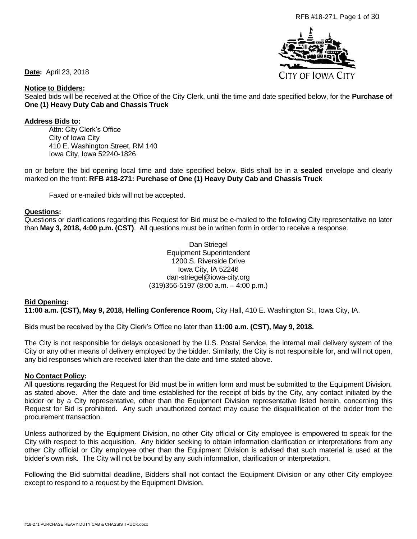

**Date:** April 23, 2018

#### **Notice to Bidders:**

Sealed bids will be received at the Office of the City Clerk, until the time and date specified below, for the **Purchase of One (1) Heavy Duty Cab and Chassis Truck**

#### **Address Bids to:**

Attn: City Clerk's Office City of Iowa City 410 E. Washington Street, RM 140 Iowa City, Iowa 52240-1826

on or before the bid opening local time and date specified below. Bids shall be in a **sealed** envelope and clearly marked on the front: **RFB #18-271: Purchase of One (1) Heavy Duty Cab and Chassis Truck** 

Faxed or e-mailed bids will not be accepted.

#### **Questions:**

Questions or clarifications regarding this Request for Bid must be e-mailed to the following City representative no later than **May 3, 2018, 4:00 p.m. (CST)**. All questions must be in written form in order to receive a response.

> Dan Striegel Equipment Superintendent 1200 S. Riverside Drive Iowa City, IA 52246 dan-striegel@iowa-city.org (319)356-5197 (8:00 a.m. – 4:00 p.m.)

## **Bid Opening:**

**11:00 a.m. (CST), May 9, 2018, Helling Conference Room,** City Hall, 410 E. Washington St., Iowa City, IA.

Bids must be received by the City Clerk's Office no later than **11:00 a.m. (CST), May 9, 2018.**

The City is not responsible for delays occasioned by the U.S. Postal Service, the internal mail delivery system of the City or any other means of delivery employed by the bidder. Similarly, the City is not responsible for, and will not open, any bid responses which are received later than the date and time stated above.

#### **No Contact Policy:**

All questions regarding the Request for Bid must be in written form and must be submitted to the Equipment Division, as stated above. After the date and time established for the receipt of bids by the City, any contact initiated by the bidder or by a City representative, other than the Equipment Division representative listed herein, concerning this Request for Bid is prohibited. Any such unauthorized contact may cause the disqualification of the bidder from the procurement transaction.

Unless authorized by the Equipment Division, no other City official or City employee is empowered to speak for the City with respect to this acquisition. Any bidder seeking to obtain information clarification or interpretations from any other City official or City employee other than the Equipment Division is advised that such material is used at the bidder's own risk. The City will not be bound by any such information, clarification or interpretation.

Following the Bid submittal deadline, Bidders shall not contact the Equipment Division or any other City employee except to respond to a request by the Equipment Division.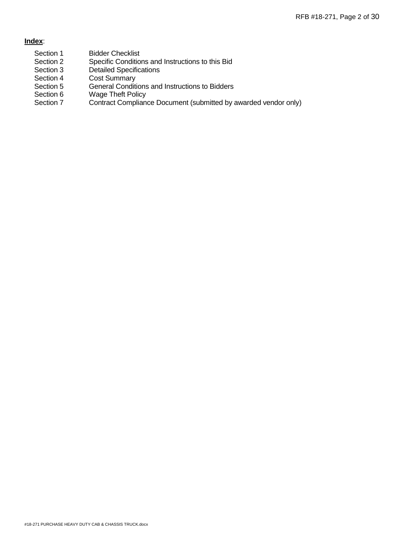# **Index**:

- Section 1 Bidder Checklist
- Section 2 Specific Conditions and Instructions to this Bid
- Section 3 Detailed Specifications
- Section 4 Cost Summary<br>Section 5 General Conditi
- Section 5 General Conditions and Instructions to Bidders<br>Section 6 Wage Theft Policy
- **Wage Theft Policy**
- Section 7 Contract Compliance Document (submitted by awarded vendor only)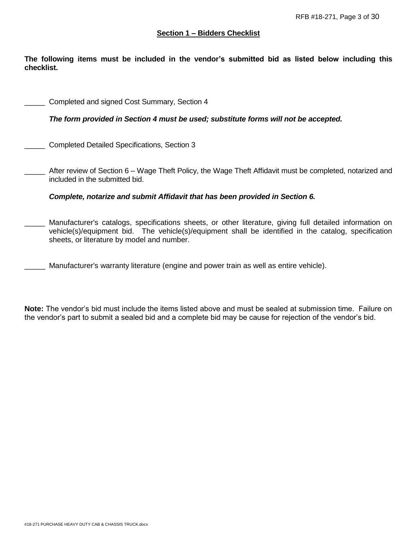## **Section 1 – Bidders Checklist**

**The following items must be included in the vendor's submitted bid as listed below including this checklist.**

Completed and signed Cost Summary, Section 4

*The form provided in Section 4 must be used; substitute forms will not be accepted.*

Completed Detailed Specifications, Section 3

After review of Section 6 – Wage Theft Policy, the Wage Theft Affidavit must be completed, notarized and included in the submitted bid.

*Complete, notarize and submit Affidavit that has been provided in Section 6.*

Manufacturer's catalogs, specifications sheets, or other literature, giving full detailed information on vehicle(s)/equipment bid. The vehicle(s)/equipment shall be identified in the catalog, specification sheets, or literature by model and number.

Manufacturer's warranty literature (engine and power train as well as entire vehicle).

**Note:** The vendor's bid must include the items listed above and must be sealed at submission time. Failure on the vendor's part to submit a sealed bid and a complete bid may be cause for rejection of the vendor's bid.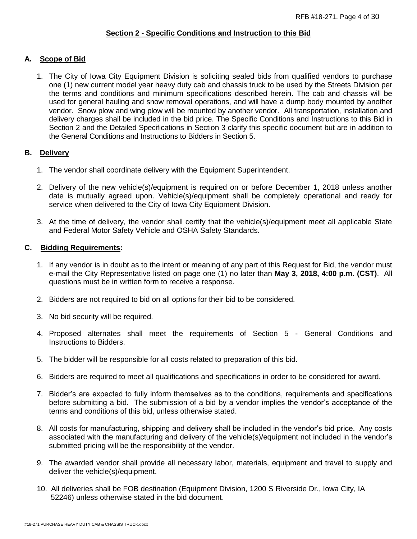# **Section 2 - Specific Conditions and Instruction to this Bid**

## **A. Scope of Bid**

1. The City of Iowa City Equipment Division is soliciting sealed bids from qualified vendors to purchase one (1) new current model year heavy duty cab and chassis truck to be used by the Streets Division per the terms and conditions and minimum specifications described herein. The cab and chassis will be used for general hauling and snow removal operations, and will have a dump body mounted by another vendor. Snow plow and wing plow will be mounted by another vendor. All transportation, installation and delivery charges shall be included in the bid price. The Specific Conditions and Instructions to this Bid in Section 2 and the Detailed Specifications in Section 3 clarify this specific document but are in addition to the General Conditions and Instructions to Bidders in Section 5.

## **B. Delivery**

- 1. The vendor shall coordinate delivery with the Equipment Superintendent.
- 2. Delivery of the new vehicle(s)/equipment is required on or before December 1, 2018 unless another date is mutually agreed upon. Vehicle(s)/equipment shall be completely operational and ready for service when delivered to the City of Iowa City Equipment Division.
- 3. At the time of delivery, the vendor shall certify that the vehicle(s)/equipment meet all applicable State and Federal Motor Safety Vehicle and OSHA Safety Standards.

## **C. Bidding Requirements:**

- 1. If any vendor is in doubt as to the intent or meaning of any part of this Request for Bid, the vendor must e-mail the City Representative listed on page one (1) no later than **May 3, 2018, 4:00 p.m. (CST)**. All questions must be in written form to receive a response.
- 2. Bidders are not required to bid on all options for their bid to be considered.
- 3. No bid security will be required.
- 4. Proposed alternates shall meet the requirements of Section 5 General Conditions and Instructions to Bidders.
- 5. The bidder will be responsible for all costs related to preparation of this bid.
- 6. Bidders are required to meet all qualifications and specifications in order to be considered for award.
- 7. Bidder's are expected to fully inform themselves as to the conditions, requirements and specifications before submitting a bid. The submission of a bid by a vendor implies the vendor's acceptance of the terms and conditions of this bid, unless otherwise stated.
- 8. All costs for manufacturing, shipping and delivery shall be included in the vendor's bid price. Any costs associated with the manufacturing and delivery of the vehicle(s)/equipment not included in the vendor's submitted pricing will be the responsibility of the vendor.
- 9. The awarded vendor shall provide all necessary labor, materials, equipment and travel to supply and deliver the vehicle(s)/equipment.
- 10. All deliveries shall be FOB destination (Equipment Division, 1200 S Riverside Dr., Iowa City, IA 52246) unless otherwise stated in the bid document.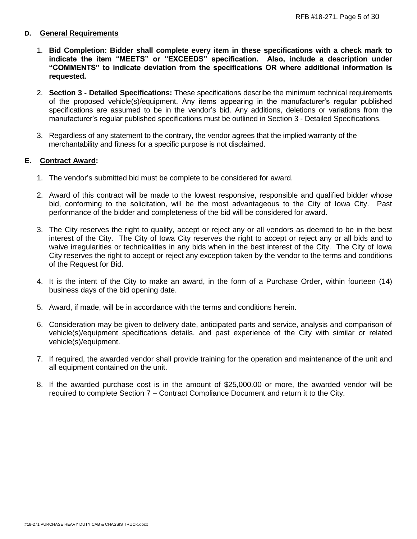## **D. General Requirements**

- 1. **Bid Completion: Bidder shall complete every item in these specifications with a check mark to indicate the item "MEETS" or "EXCEEDS" specification. Also, include a description under "COMMENTS" to indicate deviation from the specifications OR where additional information is requested.**
- 2. **Section 3 - Detailed Specifications:** These specifications describe the minimum technical requirements of the proposed vehicle(s)/equipment. Any items appearing in the manufacturer's regular published specifications are assumed to be in the vendor's bid. Any additions, deletions or variations from the manufacturer's regular published specifications must be outlined in Section 3 - Detailed Specifications.
- 3. Regardless of any statement to the contrary, the vendor agrees that the implied warranty of the merchantability and fitness for a specific purpose is not disclaimed.

## **E. Contract Award:**

- 1. The vendor's submitted bid must be complete to be considered for award.
- 2. Award of this contract will be made to the lowest responsive, responsible and qualified bidder whose bid, conforming to the solicitation, will be the most advantageous to the City of Iowa City. Past performance of the bidder and completeness of the bid will be considered for award.
- 3. The City reserves the right to qualify, accept or reject any or all vendors as deemed to be in the best interest of the City. The City of Iowa City reserves the right to accept or reject any or all bids and to waive irregularities or technicalities in any bids when in the best interest of the City. The City of Iowa City reserves the right to accept or reject any exception taken by the vendor to the terms and conditions of the Request for Bid.
- 4. It is the intent of the City to make an award, in the form of a Purchase Order, within fourteen (14) business days of the bid opening date.
- 5. Award, if made, will be in accordance with the terms and conditions herein.
- 6. Consideration may be given to delivery date, anticipated parts and service, analysis and comparison of vehicle(s)/equipment specifications details, and past experience of the City with similar or related vehicle(s)/equipment.
- 7. If required, the awarded vendor shall provide training for the operation and maintenance of the unit and all equipment contained on the unit.
- 8. If the awarded purchase cost is in the amount of \$25,000.00 or more, the awarded vendor will be required to complete Section 7 – Contract Compliance Document and return it to the City.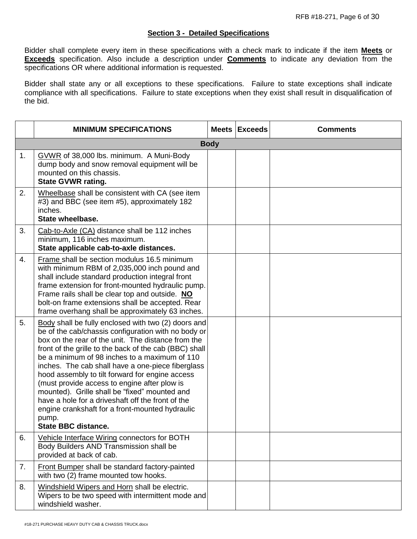#### **Section 3 - Detailed Specifications**

Bidder shall complete every item in these specifications with a check mark to indicate if the item **Meets** or **Exceeds** specification. Also include a description under **Comments** to indicate any deviation from the specifications OR where additional information is requested.

Bidder shall state any or all exceptions to these specifications. Failure to state exceptions shall indicate compliance with all specifications. Failure to state exceptions when they exist shall result in disqualification of the bid.

|                  | <b>MINIMUM SPECIFICATIONS</b>                                                                                                                                                                                                                                                                                                                                                                                                                                                                                                                                                                                                      |  | Meets Exceeds | <b>Comments</b> |  |  |
|------------------|------------------------------------------------------------------------------------------------------------------------------------------------------------------------------------------------------------------------------------------------------------------------------------------------------------------------------------------------------------------------------------------------------------------------------------------------------------------------------------------------------------------------------------------------------------------------------------------------------------------------------------|--|---------------|-----------------|--|--|
|                  | <b>Body</b>                                                                                                                                                                                                                                                                                                                                                                                                                                                                                                                                                                                                                        |  |               |                 |  |  |
| 1.               | GVWR of 38,000 lbs. minimum. A Muni-Body<br>dump body and snow removal equipment will be<br>mounted on this chassis.<br><b>State GVWR rating.</b>                                                                                                                                                                                                                                                                                                                                                                                                                                                                                  |  |               |                 |  |  |
| 2.               | Wheelbase shall be consistent with CA (see item<br>#3) and BBC (see item #5), approximately 182<br>inches.<br>State wheelbase.                                                                                                                                                                                                                                                                                                                                                                                                                                                                                                     |  |               |                 |  |  |
| 3.               | Cab-to-Axle (CA) distance shall be 112 inches<br>minimum, 116 inches maximum.<br>State applicable cab-to-axle distances.                                                                                                                                                                                                                                                                                                                                                                                                                                                                                                           |  |               |                 |  |  |
| $\overline{4}$ . | Frame shall be section modulus 16.5 minimum<br>with minimum RBM of 2,035,000 inch pound and<br>shall include standard production integral front<br>frame extension for front-mounted hydraulic pump.<br>Frame rails shall be clear top and outside. NO<br>bolt-on frame extensions shall be accepted. Rear<br>frame overhang shall be approximately 63 inches.                                                                                                                                                                                                                                                                     |  |               |                 |  |  |
| 5.               | Body shall be fully enclosed with two (2) doors and<br>be of the cab/chassis configuration with no body or<br>box on the rear of the unit. The distance from the<br>front of the grille to the back of the cab (BBC) shall<br>be a minimum of 98 inches to a maximum of 110<br>inches. The cab shall have a one-piece fiberglass<br>hood assembly to tilt forward for engine access<br>(must provide access to engine after plow is<br>mounted). Grille shall be "fixed" mounted and<br>have a hole for a driveshaft off the front of the<br>engine crankshaft for a front-mounted hydraulic<br>pump.<br><b>State BBC distance</b> |  |               |                 |  |  |
| 6.               | Vehicle Interface Wiring connectors for BOTH<br>Body Builders AND Transmission shall be<br>provided at back of cab.                                                                                                                                                                                                                                                                                                                                                                                                                                                                                                                |  |               |                 |  |  |
| 7 <sub>1</sub>   | Front Bumper shall be standard factory-painted<br>with two (2) frame mounted tow hooks.                                                                                                                                                                                                                                                                                                                                                                                                                                                                                                                                            |  |               |                 |  |  |
| 8.               | Windshield Wipers and Horn shall be electric.<br>Wipers to be two speed with intermittent mode and<br>windshield washer.                                                                                                                                                                                                                                                                                                                                                                                                                                                                                                           |  |               |                 |  |  |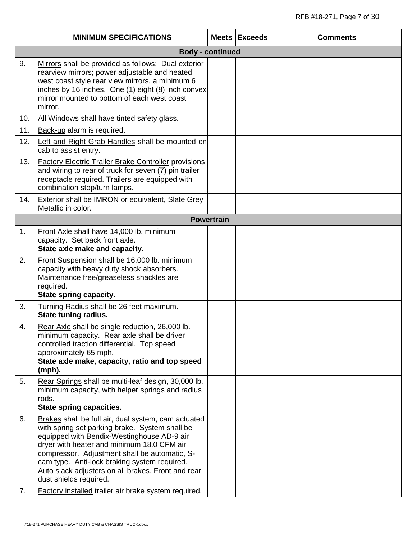|          | <b>MINIMUM SPECIFICATIONS</b>                                                                                                                                                                                                                                                                                                                                                                                                              |                   | Meets Exceeds | <b>Comments</b> |  |
|----------|--------------------------------------------------------------------------------------------------------------------------------------------------------------------------------------------------------------------------------------------------------------------------------------------------------------------------------------------------------------------------------------------------------------------------------------------|-------------------|---------------|-----------------|--|
|          | <b>Body - continued</b>                                                                                                                                                                                                                                                                                                                                                                                                                    |                   |               |                 |  |
| 9.       | Mirrors shall be provided as follows: Dual exterior<br>rearview mirrors; power adjustable and heated<br>west coast style rear view mirrors, a minimum 6<br>inches by 16 inches. One (1) eight (8) inch convex<br>mirror mounted to bottom of each west coast<br>mirror.                                                                                                                                                                    |                   |               |                 |  |
| 10.      | All Windows shall have tinted safety glass.                                                                                                                                                                                                                                                                                                                                                                                                |                   |               |                 |  |
| 11.      | Back-up alarm is required.                                                                                                                                                                                                                                                                                                                                                                                                                 |                   |               |                 |  |
| 12.      | Left and Right Grab Handles shall be mounted on<br>cab to assist entry.                                                                                                                                                                                                                                                                                                                                                                    |                   |               |                 |  |
| 13.      | <b>Factory Electric Trailer Brake Controller provisions</b><br>and wiring to rear of truck for seven (7) pin trailer<br>receptacle required. Trailers are equipped with<br>combination stop/turn lamps.                                                                                                                                                                                                                                    |                   |               |                 |  |
| 14.      | Exterior shall be IMRON or equivalent, Slate Grey<br>Metallic in color.                                                                                                                                                                                                                                                                                                                                                                    |                   |               |                 |  |
|          |                                                                                                                                                                                                                                                                                                                                                                                                                                            | <b>Powertrain</b> |               |                 |  |
| 1.       | Front Axle shall have 14,000 lb. minimum<br>capacity. Set back front axle.<br>State axle make and capacity.                                                                                                                                                                                                                                                                                                                                |                   |               |                 |  |
| 2.       | Front Suspension shall be 16,000 lb. minimum<br>capacity with heavy duty shock absorbers.<br>Maintenance free/greaseless shackles are<br>required.<br>State spring capacity.                                                                                                                                                                                                                                                               |                   |               |                 |  |
| 3.       | Turning Radius shall be 26 feet maximum.<br><b>State tuning radius.</b>                                                                                                                                                                                                                                                                                                                                                                    |                   |               |                 |  |
| 4.       | Rear Axle shall be single reduction, 26,000 lb.<br>minimum capacity. Rear axle shall be driver<br>controlled traction differential. Top speed<br>approximately 65 mph.<br>State axle make, capacity, ratio and top speed<br>(mph).                                                                                                                                                                                                         |                   |               |                 |  |
| 5.       | Rear Springs shall be multi-leaf design, 30,000 lb.<br>minimum capacity, with helper springs and radius<br>rods.<br>State spring capacities.                                                                                                                                                                                                                                                                                               |                   |               |                 |  |
| 6.<br>7. | Brakes shall be full air, dual system, cam actuated<br>with spring set parking brake. System shall be<br>equipped with Bendix-Westinghouse AD-9 air<br>dryer with heater and minimum 18.0 CFM air<br>compressor. Adjustment shall be automatic, S-<br>cam type. Anti-lock braking system required.<br>Auto slack adjusters on all brakes. Front and rear<br>dust shields required.<br>Factory installed trailer air brake system required. |                   |               |                 |  |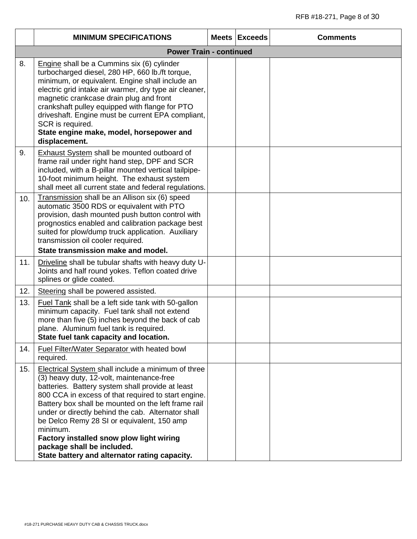|     | <b>MINIMUM SPECIFICATIONS</b>                                                                                                                                                                                                                                                                                                                                                                                                                                                                                | Meets Exceeds | <b>Comments</b> |
|-----|--------------------------------------------------------------------------------------------------------------------------------------------------------------------------------------------------------------------------------------------------------------------------------------------------------------------------------------------------------------------------------------------------------------------------------------------------------------------------------------------------------------|---------------|-----------------|
|     | <b>Power Train - continued</b>                                                                                                                                                                                                                                                                                                                                                                                                                                                                               |               |                 |
| 8.  | Engine shall be a Cummins six (6) cylinder<br>turbocharged diesel, 280 HP, 660 lb./ft torque,<br>minimum, or equivalent. Engine shall include an<br>electric grid intake air warmer, dry type air cleaner,<br>magnetic crankcase drain plug and front<br>crankshaft pulley equipped with flange for PTO<br>driveshaft. Engine must be current EPA compliant,<br>SCR is required.<br>State engine make, model, horsepower and<br>displacement.                                                                |               |                 |
| 9.  | Exhaust System shall be mounted outboard of<br>frame rail under right hand step, DPF and SCR<br>included, with a B-pillar mounted vertical tailpipe-<br>10-foot minimum height. The exhaust system<br>shall meet all current state and federal regulations.                                                                                                                                                                                                                                                  |               |                 |
| 10. | Transmission shall be an Allison six (6) speed<br>automatic 3500 RDS or equivalent with PTO<br>provision, dash mounted push button control with<br>prognostics enabled and calibration package best<br>suited for plow/dump truck application. Auxiliary<br>transmission oil cooler required.<br>State transmission make and model.                                                                                                                                                                          |               |                 |
| 11. | Driveline shall be tubular shafts with heavy duty U-<br>Joints and half round yokes. Teflon coated drive<br>splines or glide coated.                                                                                                                                                                                                                                                                                                                                                                         |               |                 |
| 12. | Steering shall be powered assisted.                                                                                                                                                                                                                                                                                                                                                                                                                                                                          |               |                 |
| 13. | Fuel Tank shall be a left side tank with 50-gallon<br>minimum capacity. Fuel tank shall not extend<br>more than five (5) inches beyond the back of cab<br>plane. Aluminum fuel tank is required.<br>State fuel tank capacity and location.                                                                                                                                                                                                                                                                   |               |                 |
| 14. | <b>Fuel Filter/Water Separator with heated bowl</b><br>required.                                                                                                                                                                                                                                                                                                                                                                                                                                             |               |                 |
| 15. | Electrical System shall include a minimum of three<br>(3) heavy duty, 12-volt, maintenance-free<br>batteries. Battery system shall provide at least<br>800 CCA in excess of that required to start engine.<br>Battery box shall be mounted on the left frame rail<br>under or directly behind the cab. Alternator shall<br>be Delco Remy 28 SI or equivalent, 150 amp<br>minimum.<br>Factory installed snow plow light wiring<br>package shall be included.<br>State battery and alternator rating capacity. |               |                 |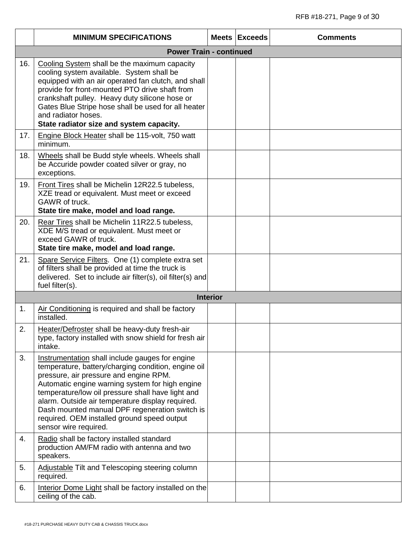|     | <b>MINIMUM SPECIFICATIONS</b>                                                                                                                                                                                                                                                                                                                                                                                                          |                 | Meets Exceeds | <b>Comments</b> |
|-----|----------------------------------------------------------------------------------------------------------------------------------------------------------------------------------------------------------------------------------------------------------------------------------------------------------------------------------------------------------------------------------------------------------------------------------------|-----------------|---------------|-----------------|
|     | <b>Power Train - continued</b>                                                                                                                                                                                                                                                                                                                                                                                                         |                 |               |                 |
| 16. | Cooling System shall be the maximum capacity<br>cooling system available. System shall be<br>equipped with an air operated fan clutch, and shall<br>provide for front-mounted PTO drive shaft from<br>crankshaft pulley. Heavy duty silicone hose or<br>Gates Blue Stripe hose shall be used for all heater<br>and radiator hoses.<br>State radiator size and system capacity.                                                         |                 |               |                 |
| 17. | Engine Block Heater shall be 115-volt, 750 watt<br>minimum.                                                                                                                                                                                                                                                                                                                                                                            |                 |               |                 |
| 18. | Wheels shall be Budd style wheels. Wheels shall<br>be Accuride powder coated silver or gray, no<br>exceptions.                                                                                                                                                                                                                                                                                                                         |                 |               |                 |
| 19. | Front Tires shall be Michelin 12R22.5 tubeless,<br>XZE tread or equivalent. Must meet or exceed<br>GAWR of truck.<br>State tire make, model and load range.                                                                                                                                                                                                                                                                            |                 |               |                 |
| 20. | Rear Tires shall be Michelin 11R22.5 tubeless,<br>XDE M/S tread or equivalent. Must meet or<br>exceed GAWR of truck.<br>State tire make, model and load range.                                                                                                                                                                                                                                                                         |                 |               |                 |
| 21. | Spare Service Filters. One (1) complete extra set<br>of filters shall be provided at time the truck is<br>delivered. Set to include air filter(s), oil filter(s) and<br>fuel filter(s).                                                                                                                                                                                                                                                |                 |               |                 |
|     |                                                                                                                                                                                                                                                                                                                                                                                                                                        | <b>Interior</b> |               |                 |
| 1.  | Air Conditioning is required and shall be factory<br>installed.                                                                                                                                                                                                                                                                                                                                                                        |                 |               |                 |
| 2.  | Heater/Defroster shall be heavy-duty fresh-air<br>type, factory installed with snow shield for fresh air<br>intake.                                                                                                                                                                                                                                                                                                                    |                 |               |                 |
| 3.  | Instrumentation shall include gauges for engine<br>temperature, battery/charging condition, engine oil<br>pressure, air pressure and engine RPM.<br>Automatic engine warning system for high engine<br>temperature/low oil pressure shall have light and<br>alarm. Outside air temperature display required.<br>Dash mounted manual DPF regeneration switch is<br>required. OEM installed ground speed output<br>sensor wire required. |                 |               |                 |
| 4.  | Radio shall be factory installed standard<br>production AM/FM radio with antenna and two<br>speakers.                                                                                                                                                                                                                                                                                                                                  |                 |               |                 |
| 5.  | Adjustable Tilt and Telescoping steering column<br>required.                                                                                                                                                                                                                                                                                                                                                                           |                 |               |                 |
| 6.  | Interior Dome Light shall be factory installed on the<br>ceiling of the cab.                                                                                                                                                                                                                                                                                                                                                           |                 |               |                 |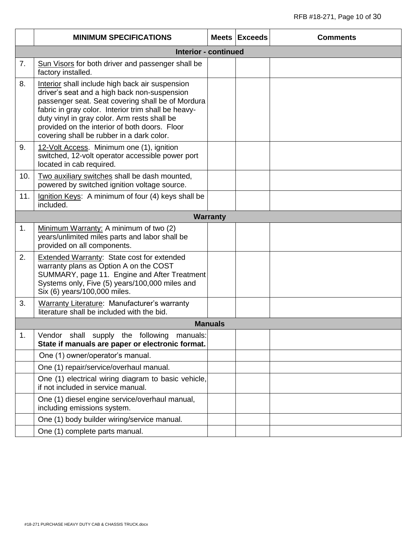|               | <b>MINIMUM SPECIFICATIONS</b>                                                                                                                                                                                                                                                                                                                             |                 | Meets Exceeds | <b>Comments</b> |  |
|---------------|-----------------------------------------------------------------------------------------------------------------------------------------------------------------------------------------------------------------------------------------------------------------------------------------------------------------------------------------------------------|-----------------|---------------|-----------------|--|
|               | <b>Interior - continued</b>                                                                                                                                                                                                                                                                                                                               |                 |               |                 |  |
| 7.            | Sun Visors for both driver and passenger shall be<br>factory installed.                                                                                                                                                                                                                                                                                   |                 |               |                 |  |
| 8.            | Interior shall include high back air suspension<br>driver's seat and a high back non-suspension<br>passenger seat. Seat covering shall be of Mordura<br>fabric in gray color. Interior trim shall be heavy-<br>duty vinyl in gray color. Arm rests shall be<br>provided on the interior of both doors. Floor<br>covering shall be rubber in a dark color. |                 |               |                 |  |
| 9.            | 12-Volt Access. Minimum one (1), ignition<br>switched, 12-volt operator accessible power port<br>located in cab required.                                                                                                                                                                                                                                 |                 |               |                 |  |
| 10.           | Two auxiliary switches shall be dash mounted,<br>powered by switched ignition voltage source.                                                                                                                                                                                                                                                             |                 |               |                 |  |
| 11.           | Ignition Keys: A minimum of four (4) keys shall be<br>included.                                                                                                                                                                                                                                                                                           |                 |               |                 |  |
|               |                                                                                                                                                                                                                                                                                                                                                           | <b>Warranty</b> |               |                 |  |
| 1.            | Minimum Warranty: A minimum of two (2)<br>years/unlimited miles parts and labor shall be<br>provided on all components.                                                                                                                                                                                                                                   |                 |               |                 |  |
| 2.            | <b>Extended Warranty: State cost for extended</b><br>warranty plans as Option A on the COST<br>SUMMARY, page 11. Engine and After Treatment<br>Systems only, Five (5) years/100,000 miles and<br>Six (6) years/100,000 miles.                                                                                                                             |                 |               |                 |  |
| 3.            | Warranty Literature: Manufacturer's warranty<br>literature shall be included with the bid.                                                                                                                                                                                                                                                                |                 |               |                 |  |
|               |                                                                                                                                                                                                                                                                                                                                                           | <b>Manuals</b>  |               |                 |  |
| $\mathbf 1$ . | Vendor shall supply the following manuals:<br>State if manuals are paper or electronic format.                                                                                                                                                                                                                                                            |                 |               |                 |  |
|               | One (1) owner/operator's manual.                                                                                                                                                                                                                                                                                                                          |                 |               |                 |  |
|               | One (1) repair/service/overhaul manual.                                                                                                                                                                                                                                                                                                                   |                 |               |                 |  |
|               | One (1) electrical wiring diagram to basic vehicle,<br>if not included in service manual.                                                                                                                                                                                                                                                                 |                 |               |                 |  |
|               | One (1) diesel engine service/overhaul manual,<br>including emissions system.                                                                                                                                                                                                                                                                             |                 |               |                 |  |
|               | One (1) body builder wiring/service manual.                                                                                                                                                                                                                                                                                                               |                 |               |                 |  |
|               | One (1) complete parts manual.                                                                                                                                                                                                                                                                                                                            |                 |               |                 |  |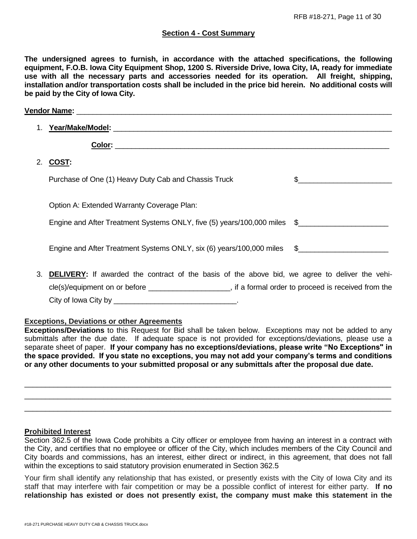## **Section 4 - Cost Summary**

**The undersigned agrees to furnish, in accordance with the attached specifications, the following equipment, F.O.B. Iowa City Equipment Shop, 1200 S. Riverside Drive, Iowa City, IA, ready for immediate use with all the necessary parts and accessories needed for its operation. All freight, shipping, installation and/or transportation costs shall be included in the price bid herein. No additional costs will be paid by the City of Iowa City.**

|    | Vendor Name: Vendor                                                                                   |              |
|----|-------------------------------------------------------------------------------------------------------|--------------|
|    |                                                                                                       |              |
|    |                                                                                                       |              |
| 2. | COST:                                                                                                 |              |
|    | Purchase of One (1) Heavy Duty Cab and Chassis Truck                                                  |              |
|    | Option A: Extended Warranty Coverage Plan:                                                            |              |
|    | Engine and After Treatment Systems ONLY, five (5) years/100,000 miles \$                              |              |
|    | Engine and After Treatment Systems ONLY, six (6) years/100,000 miles                                  | $\mathbb{S}$ |
| 3. | <b>DELIVERY:</b> If awarded the contract of the basis of the above bid, we agree to deliver the vehi- |              |

cle(s)/equipment on or before \_\_\_\_\_\_\_\_\_\_\_\_\_\_\_\_\_\_\_, if a formal order to proceed is received from the City of Iowa City by \_\_\_\_\_\_\_\_\_\_\_\_\_\_\_\_\_\_\_\_\_\_\_\_\_\_\_\_\_\_.

## **Exceptions, Deviations or other Agreements**

**Exceptions/Deviations** to this Request for Bid shall be taken below. Exceptions may not be added to any submittals after the due date. If adequate space is not provided for exceptions/deviations, please use a separate sheet of paper. **If your company has no exceptions/deviations, please write "No Exceptions" in the space provided. If you state no exceptions, you may not add your company's terms and conditions or any other documents to your submitted proposal or any submittals after the proposal due date.**

\_\_\_\_\_\_\_\_\_\_\_\_\_\_\_\_\_\_\_\_\_\_\_\_\_\_\_\_\_\_\_\_\_\_\_\_\_\_\_\_\_\_\_\_\_\_\_\_\_\_\_\_\_\_\_\_\_\_\_\_\_\_\_\_\_\_\_\_\_\_\_\_\_\_\_\_\_\_\_\_\_\_\_\_\_\_\_\_ \_\_\_\_\_\_\_\_\_\_\_\_\_\_\_\_\_\_\_\_\_\_\_\_\_\_\_\_\_\_\_\_\_\_\_\_\_\_\_\_\_\_\_\_\_\_\_\_\_\_\_\_\_\_\_\_\_\_\_\_\_\_\_\_\_\_\_\_\_\_\_\_\_\_\_\_\_\_\_\_\_\_\_\_\_\_\_\_ \_\_\_\_\_\_\_\_\_\_\_\_\_\_\_\_\_\_\_\_\_\_\_\_\_\_\_\_\_\_\_\_\_\_\_\_\_\_\_\_\_\_\_\_\_\_\_\_\_\_\_\_\_\_\_\_\_\_\_\_\_\_\_\_\_\_\_\_\_\_\_\_\_\_\_\_\_\_\_\_\_\_\_\_\_\_\_\_

## **Prohibited Interest**

Section 362.5 of the Iowa Code prohibits a City officer or employee from having an interest in a contract with the City, and certifies that no employee or officer of the City, which includes members of the City Council and City boards and commissions, has an interest, either direct or indirect, in this agreement, that does not fall within the exceptions to said statutory provision enumerated in Section 362.5

Your firm shall identify any relationship that has existed, or presently exists with the City of Iowa City and its staff that may interfere with fair competition or may be a possible conflict of interest for either party. **If no relationship has existed or does not presently exist, the company must make this statement in the**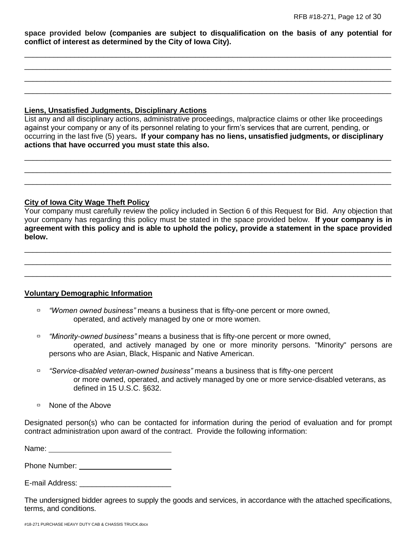**space provided below (companies are subject to disqualification on the basis of any potential for conflict of interest as determined by the City of Iowa City).**

\_\_\_\_\_\_\_\_\_\_\_\_\_\_\_\_\_\_\_\_\_\_\_\_\_\_\_\_\_\_\_\_\_\_\_\_\_\_\_\_\_\_\_\_\_\_\_\_\_\_\_\_\_\_\_\_\_\_\_\_\_\_\_\_\_\_\_\_\_\_\_\_\_\_\_\_\_\_\_\_\_\_\_\_\_\_\_\_ \_\_\_\_\_\_\_\_\_\_\_\_\_\_\_\_\_\_\_\_\_\_\_\_\_\_\_\_\_\_\_\_\_\_\_\_\_\_\_\_\_\_\_\_\_\_\_\_\_\_\_\_\_\_\_\_\_\_\_\_\_\_\_\_\_\_\_\_\_\_\_\_\_\_\_\_\_\_\_\_\_\_\_\_\_\_\_\_ \_\_\_\_\_\_\_\_\_\_\_\_\_\_\_\_\_\_\_\_\_\_\_\_\_\_\_\_\_\_\_\_\_\_\_\_\_\_\_\_\_\_\_\_\_\_\_\_\_\_\_\_\_\_\_\_\_\_\_\_\_\_\_\_\_\_\_\_\_\_\_\_\_\_\_\_\_\_\_\_\_\_\_\_\_\_\_\_ \_\_\_\_\_\_\_\_\_\_\_\_\_\_\_\_\_\_\_\_\_\_\_\_\_\_\_\_\_\_\_\_\_\_\_\_\_\_\_\_\_\_\_\_\_\_\_\_\_\_\_\_\_\_\_\_\_\_\_\_\_\_\_\_\_\_\_\_\_\_\_\_\_\_\_\_\_\_\_\_\_\_\_\_\_\_\_\_

#### **Liens, Unsatisfied Judgments, Disciplinary Actions**

List any and all disciplinary actions, administrative proceedings, malpractice claims or other like proceedings against your company or any of its personnel relating to your firm's services that are current, pending, or occurring in the last five (5) years**. If your company has no liens, unsatisfied judgments, or disciplinary actions that have occurred you must state this also.**

\_\_\_\_\_\_\_\_\_\_\_\_\_\_\_\_\_\_\_\_\_\_\_\_\_\_\_\_\_\_\_\_\_\_\_\_\_\_\_\_\_\_\_\_\_\_\_\_\_\_\_\_\_\_\_\_\_\_\_\_\_\_\_\_\_\_\_\_\_\_\_\_\_\_\_\_\_\_\_\_\_\_\_\_\_\_\_\_ \_\_\_\_\_\_\_\_\_\_\_\_\_\_\_\_\_\_\_\_\_\_\_\_\_\_\_\_\_\_\_\_\_\_\_\_\_\_\_\_\_\_\_\_\_\_\_\_\_\_\_\_\_\_\_\_\_\_\_\_\_\_\_\_\_\_\_\_\_\_\_\_\_\_\_\_\_\_\_\_\_\_\_\_\_\_\_\_ \_\_\_\_\_\_\_\_\_\_\_\_\_\_\_\_\_\_\_\_\_\_\_\_\_\_\_\_\_\_\_\_\_\_\_\_\_\_\_\_\_\_\_\_\_\_\_\_\_\_\_\_\_\_\_\_\_\_\_\_\_\_\_\_\_\_\_\_\_\_\_\_\_\_\_\_\_\_\_\_\_\_\_\_\_\_\_\_

#### **City of Iowa City Wage Theft Policy**

Your company must carefully review the policy included in Section 6 of this Request for Bid. Any objection that your company has regarding this policy must be stated in the space provided below. **If your company is in agreement with this policy and is able to uphold the policy, provide a statement in the space provided below.**

\_\_\_\_\_\_\_\_\_\_\_\_\_\_\_\_\_\_\_\_\_\_\_\_\_\_\_\_\_\_\_\_\_\_\_\_\_\_\_\_\_\_\_\_\_\_\_\_\_\_\_\_\_\_\_\_\_\_\_\_\_\_\_\_\_\_\_\_\_\_\_\_\_\_\_\_\_\_\_\_\_\_\_\_\_\_\_\_ \_\_\_\_\_\_\_\_\_\_\_\_\_\_\_\_\_\_\_\_\_\_\_\_\_\_\_\_\_\_\_\_\_\_\_\_\_\_\_\_\_\_\_\_\_\_\_\_\_\_\_\_\_\_\_\_\_\_\_\_\_\_\_\_\_\_\_\_\_\_\_\_\_\_\_\_\_\_\_\_\_\_\_\_\_\_\_\_ \_\_\_\_\_\_\_\_\_\_\_\_\_\_\_\_\_\_\_\_\_\_\_\_\_\_\_\_\_\_\_\_\_\_\_\_\_\_\_\_\_\_\_\_\_\_\_\_\_\_\_\_\_\_\_\_\_\_\_\_\_\_\_\_\_\_\_\_\_\_\_\_\_\_\_\_\_\_\_\_\_\_\_\_\_\_\_\_

## **Voluntary Demographic Information**

- *"Women owned business"* means a business that is fifty-one percent or more owned, operated, and actively managed by one or more women.
- *"Minority-owned business"* means a business that is fifty-one percent or more owned, operated, and actively managed by one or more minority persons. "Minority" persons are persons who are Asian, Black, Hispanic and Native American.
- *"Service-disabled veteran-owned business"* means a business that is fifty-one percent or more owned, operated, and actively managed by one or more service-disabled veterans, as defined in 15 U.S.C. §632.
- □ None of the Above

Designated person(s) who can be contacted for information during the period of evaluation and for prompt contract administration upon award of the contract. Provide the following information:

Name: when the contract of the contract of the contract of the contract of the contract of the contract of the contract of the contract of the contract of the contract of the contract of the contract of the contract of the

Phone Number:

E-mail Address: **E-mail Address:** 

The undersigned bidder agrees to supply the goods and services, in accordance with the attached specifications, terms, and conditions.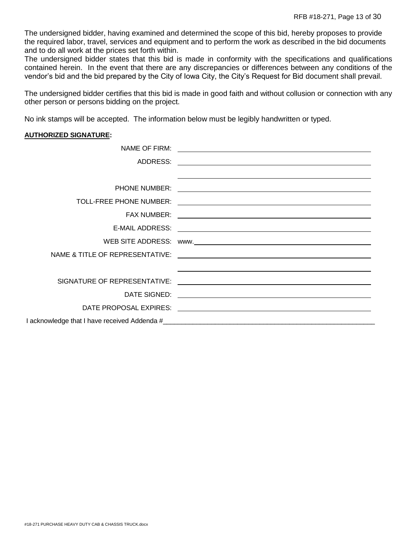The undersigned bidder, having examined and determined the scope of this bid, hereby proposes to provide the required labor, travel, services and equipment and to perform the work as described in the bid documents and to do all work at the prices set forth within.

The undersigned bidder states that this bid is made in conformity with the specifications and qualifications contained herein. In the event that there are any discrepancies or differences between any conditions of the vendor's bid and the bid prepared by the City of Iowa City, the City's Request for Bid document shall prevail.

The undersigned bidder certifies that this bid is made in good faith and without collusion or connection with any other person or persons bidding on the project.

No ink stamps will be accepted. The information below must be legibly handwritten or typed.

#### **AUTHORIZED SIGNATURE:**

| NAME OF FIRM: |                                                                                  |
|---------------|----------------------------------------------------------------------------------|
|               |                                                                                  |
|               | ,我们也不会有什么。""我们的人,我们也不会有什么?""我们的人,我们也不会有什么?""我们的人,我们也不会有什么?""我们的人,我们也不会有什么?""我们的人 |
|               |                                                                                  |
|               |                                                                                  |
|               |                                                                                  |
|               |                                                                                  |
|               |                                                                                  |
|               |                                                                                  |
|               | ,我们也不会有什么。""我们的人,我们也不会有什么?""我们的人,我们也不会有什么?""我们的人,我们也不会有什么?""我们的人,我们也不会有什么?""我们的人 |
|               |                                                                                  |
|               |                                                                                  |
|               |                                                                                  |
|               |                                                                                  |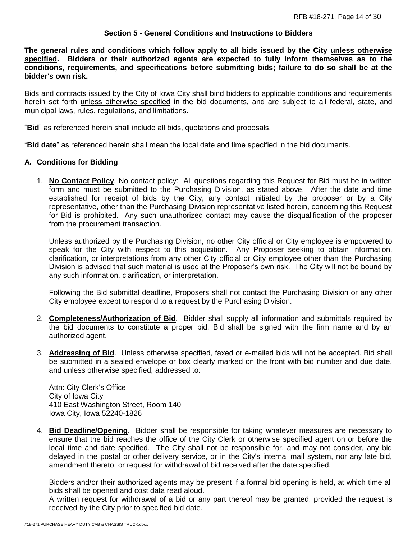## **Section 5 - General Conditions and Instructions to Bidders**

**The general rules and conditions which follow apply to all bids issued by the City unless otherwise specified. Bidders or their authorized agents are expected to fully inform themselves as to the conditions, requirements, and specifications before submitting bids; failure to do so shall be at the bidder's own risk.**

Bids and contracts issued by the City of Iowa City shall bind bidders to applicable conditions and requirements herein set forth unless otherwise specified in the bid documents, and are subject to all federal, state, and municipal laws, rules, regulations, and limitations.

"**Bid**" as referenced herein shall include all bids, quotations and proposals.

"**Bid date**" as referenced herein shall mean the local date and time specified in the bid documents.

## **A. Conditions for Bidding**

1. **No Contact Policy**. No contact policy: All questions regarding this Request for Bid must be in written form and must be submitted to the Purchasing Division, as stated above. After the date and time established for receipt of bids by the City, any contact initiated by the proposer or by a City representative, other than the Purchasing Division representative listed herein, concerning this Request for Bid is prohibited. Any such unauthorized contact may cause the disqualification of the proposer from the procurement transaction.

Unless authorized by the Purchasing Division, no other City official or City employee is empowered to speak for the City with respect to this acquisition. Any Proposer seeking to obtain information, clarification, or interpretations from any other City official or City employee other than the Purchasing Division is advised that such material is used at the Proposer's own risk. The City will not be bound by any such information, clarification, or interpretation.

Following the Bid submittal deadline, Proposers shall not contact the Purchasing Division or any other City employee except to respond to a request by the Purchasing Division.

- 2. **Completeness/Authorization of Bid**. Bidder shall supply all information and submittals required by the bid documents to constitute a proper bid. Bid shall be signed with the firm name and by an authorized agent.
- 3. **Addressing of Bid**. Unless otherwise specified, faxed or e-mailed bids will not be accepted. Bid shall be submitted in a sealed envelope or box clearly marked on the front with bid number and due date, and unless otherwise specified, addressed to:

Attn: City Clerk's Office City of Iowa City 410 East Washington Street, Room 140 Iowa City, Iowa 52240-1826

4. **Bid Deadline/Opening**. Bidder shall be responsible for taking whatever measures are necessary to ensure that the bid reaches the office of the City Clerk or otherwise specified agent on or before the local time and date specified. The City shall not be responsible for, and may not consider, any bid delayed in the postal or other delivery service, or in the City's internal mail system, nor any late bid, amendment thereto, or request for withdrawal of bid received after the date specified.

Bidders and/or their authorized agents may be present if a formal bid opening is held, at which time all bids shall be opened and cost data read aloud.

A written request for withdrawal of a bid or any part thereof may be granted, provided the request is received by the City prior to specified bid date.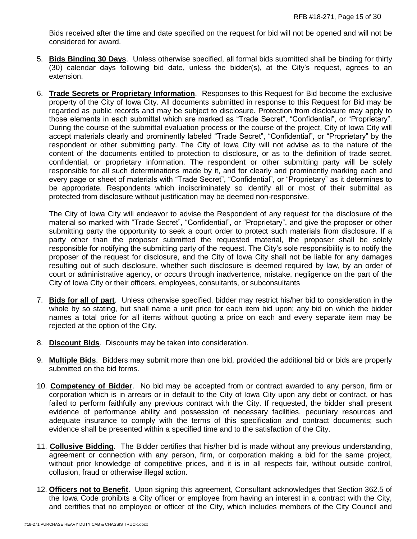Bids received after the time and date specified on the request for bid will not be opened and will not be considered for award.

- 5. **Bids Binding 30 Days**. Unless otherwise specified, all formal bids submitted shall be binding for thirty (30) calendar days following bid date, unless the bidder(s), at the City's request, agrees to an extension.
- 6. **Trade Secrets or Proprietary Information**. Responses to this Request for Bid become the exclusive property of the City of Iowa City. All documents submitted in response to this Request for Bid may be regarded as public records and may be subject to disclosure. Protection from disclosure may apply to those elements in each submittal which are marked as "Trade Secret", "Confidential", or "Proprietary". During the course of the submittal evaluation process or the course of the project, City of Iowa City will accept materials clearly and prominently labeled "Trade Secret", "Confidential", or "Proprietary" by the respondent or other submitting party. The City of Iowa City will not advise as to the nature of the content of the documents entitled to protection to disclosure, or as to the definition of trade secret, confidential, or proprietary information. The respondent or other submitting party will be solely responsible for all such determinations made by it, and for clearly and prominently marking each and every page or sheet of materials with "Trade Secret", "Confidential", or "Proprietary" as it determines to be appropriate. Respondents which indiscriminately so identify all or most of their submittal as protected from disclosure without justification may be deemed non-responsive.

The City of Iowa City will endeavor to advise the Respondent of any request for the disclosure of the material so marked with "Trade Secret", "Confidential", or "Proprietary", and give the proposer or other submitting party the opportunity to seek a court order to protect such materials from disclosure. If a party other than the proposer submitted the requested material, the proposer shall be solely responsible for notifying the submitting party of the request. The City's sole responsibility is to notify the proposer of the request for disclosure, and the City of Iowa City shall not be liable for any damages resulting out of such disclosure, whether such disclosure is deemed required by law, by an order of court or administrative agency, or occurs through inadvertence, mistake, negligence on the part of the City of Iowa City or their officers, employees, consultants, or subconsultants

- 7. **Bids for all of part**. Unless otherwise specified, bidder may restrict his/her bid to consideration in the whole by so stating, but shall name a unit price for each item bid upon; any bid on which the bidder names a total price for all items without quoting a price on each and every separate item may be rejected at the option of the City.
- 8. **Discount Bids**. Discounts may be taken into consideration.
- 9. **Multiple Bids**. Bidders may submit more than one bid, provided the additional bid or bids are properly submitted on the bid forms.
- 10. **Competency of Bidder**. No bid may be accepted from or contract awarded to any person, firm or corporation which is in arrears or in default to the City of Iowa City upon any debt or contract, or has failed to perform faithfully any previous contract with the City. If requested, the bidder shall present evidence of performance ability and possession of necessary facilities, pecuniary resources and adequate insurance to comply with the terms of this specification and contract documents; such evidence shall be presented within a specified time and to the satisfaction of the City.
- 11. **Collusive Bidding**. The Bidder certifies that his/her bid is made without any previous understanding, agreement or connection with any person, firm, or corporation making a bid for the same project, without prior knowledge of competitive prices, and it is in all respects fair, without outside control, collusion, fraud or otherwise illegal action.
- 12. **Officers not to Benefit**. Upon signing this agreement, Consultant acknowledges that Section 362.5 of the Iowa Code prohibits a City officer or employee from having an interest in a contract with the City, and certifies that no employee or officer of the City, which includes members of the City Council and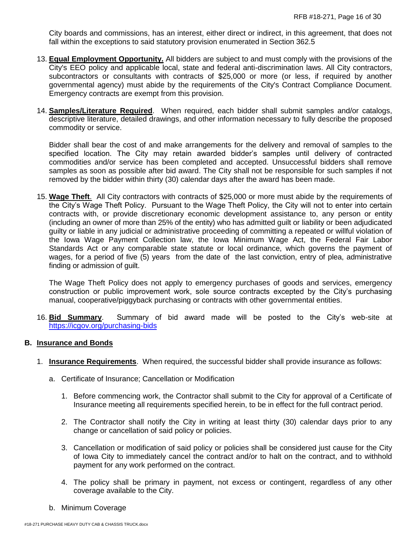City boards and commissions, has an interest, either direct or indirect, in this agreement, that does not fall within the exceptions to said statutory provision enumerated in Section 362.5

- 13. **Equal Employment Opportunity.** All bidders are subject to and must comply with the provisions of the City's EEO policy and applicable local, state and federal anti-discrimination laws. All City contractors, subcontractors or consultants with contracts of \$25,000 or more (or less, if required by another governmental agency) must abide by the requirements of the City's Contract Compliance Document. Emergency contracts are exempt from this provision.
- 14. **Samples/Literature Required**. When required, each bidder shall submit samples and/or catalogs, descriptive literature, detailed drawings, and other information necessary to fully describe the proposed commodity or service.

Bidder shall bear the cost of and make arrangements for the delivery and removal of samples to the specified location. The City may retain awarded bidder's samples until delivery of contracted commodities and/or service has been completed and accepted. Unsuccessful bidders shall remove samples as soon as possible after bid award. The City shall not be responsible for such samples if not removed by the bidder within thirty (30) calendar days after the award has been made.

15. **Wage Theft**. All City contractors with contracts of \$25,000 or more must abide by the requirements of the City's Wage Theft Policy. Pursuant to the Wage Theft Policy, the City will not to enter into certain contracts with, or provide discretionary economic development assistance to, any person or entity (including an owner of more than 25% of the entity) who has admitted guilt or liability or been adjudicated guilty or liable in any judicial or administrative proceeding of committing a repeated or willful violation of the Iowa Wage Payment Collection law, the Iowa Minimum Wage Act, the Federal Fair Labor Standards Act or any comparable state statute or local ordinance, which governs the payment of wages, for a period of five (5) years from the date of the last conviction, entry of plea, administrative finding or admission of guilt.

The Wage Theft Policy does not apply to emergency purchases of goods and services, emergency construction or public improvement work, sole source contracts excepted by the City's purchasing manual, cooperative/piggyback purchasing or contracts with other governmental entities.

16. **Bid Summary**. Summary of bid award made will be posted to the City's web-site at <https://icgov.org/purchasing-bids>

## **B. Insurance and Bonds**

- 1. **Insurance Requirements**. When required, the successful bidder shall provide insurance as follows:
	- a. Certificate of Insurance; Cancellation or Modification
		- 1. Before commencing work, the Contractor shall submit to the City for approval of a Certificate of Insurance meeting all requirements specified herein, to be in effect for the full contract period.
		- 2. The Contractor shall notify the City in writing at least thirty (30) calendar days prior to any change or cancellation of said policy or policies.
		- 3. Cancellation or modification of said policy or policies shall be considered just cause for the City of Iowa City to immediately cancel the contract and/or to halt on the contract, and to withhold payment for any work performed on the contract.
		- 4. The policy shall be primary in payment, not excess or contingent, regardless of any other coverage available to the City.
	- b. Minimum Coverage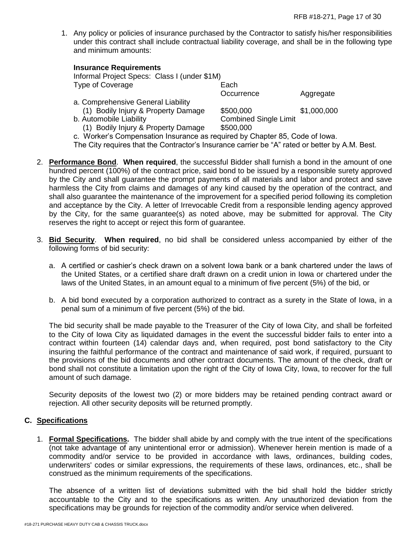1. Any policy or policies of insurance purchased by the Contractor to satisfy his/her responsibilities under this contract shall include contractual liability coverage, and shall be in the following type and minimum amounts:

| <u>IIISULAIIUE NEUUILEIIIEIIIS</u>                                          |                              |             |
|-----------------------------------------------------------------------------|------------------------------|-------------|
| Informal Project Specs: Class I (under \$1M)                                |                              |             |
| Type of Coverage                                                            | Each                         |             |
|                                                                             | Occurrence                   | Aggregate   |
| a. Comprehensive General Liability                                          |                              |             |
| (1) Bodily Injury & Property Damage                                         | \$500,000                    | \$1,000,000 |
| b. Automobile Liability                                                     | <b>Combined Single Limit</b> |             |
| (1) Bodily Injury & Property Damage                                         | \$500,000                    |             |
| c. Worker's Compensation Insurance as required by Chapter 85, Code of Iowa. |                              |             |

**Insurance Requirements**

The City requires that the Contractor's Insurance carrier be "A" rated or better by A.M. Best.

- 2. **Performance Bond**. **When required**, the successful Bidder shall furnish a bond in the amount of one hundred percent (100%) of the contract price, said bond to be issued by a responsible surety approved by the City and shall guarantee the prompt payments of all materials and labor and protect and save harmless the City from claims and damages of any kind caused by the operation of the contract, and shall also guarantee the maintenance of the improvement for a specified period following its completion and acceptance by the City. A letter of Irrevocable Credit from a responsible lending agency approved by the City, for the same guarantee(s) as noted above, may be submitted for approval. The City reserves the right to accept or reject this form of guarantee.
- 3. **Bid Security**. **When required**, no bid shall be considered unless accompanied by either of the following forms of bid security:
	- a. A certified or cashier's check drawn on a solvent Iowa bank or a bank chartered under the laws of the United States, or a certified share draft drawn on a credit union in Iowa or chartered under the laws of the United States, in an amount equal to a minimum of five percent (5%) of the bid, or
	- b. A bid bond executed by a corporation authorized to contract as a surety in the State of Iowa, in a penal sum of a minimum of five percent (5%) of the bid.

The bid security shall be made payable to the Treasurer of the City of Iowa City, and shall be forfeited to the City of Iowa City as liquidated damages in the event the successful bidder fails to enter into a contract within fourteen (14) calendar days and, when required, post bond satisfactory to the City insuring the faithful performance of the contract and maintenance of said work, if required, pursuant to the provisions of the bid documents and other contract documents. The amount of the check, draft or bond shall not constitute a limitation upon the right of the City of Iowa City, Iowa, to recover for the full amount of such damage.

Security deposits of the lowest two (2) or more bidders may be retained pending contract award or rejection. All other security deposits will be returned promptly.

# **C. Specifications**

1. **Formal Specifications.** The bidder shall abide by and comply with the true intent of the specifications (not take advantage of any unintentional error or admission). Whenever herein mention is made of a commodity and/or service to be provided in accordance with laws, ordinances, building codes, underwriters' codes or similar expressions, the requirements of these laws, ordinances, etc., shall be construed as the minimum requirements of the specifications.

The absence of a written list of deviations submitted with the bid shall hold the bidder strictly accountable to the City and to the specifications as written. Any unauthorized deviation from the specifications may be grounds for rejection of the commodity and/or service when delivered.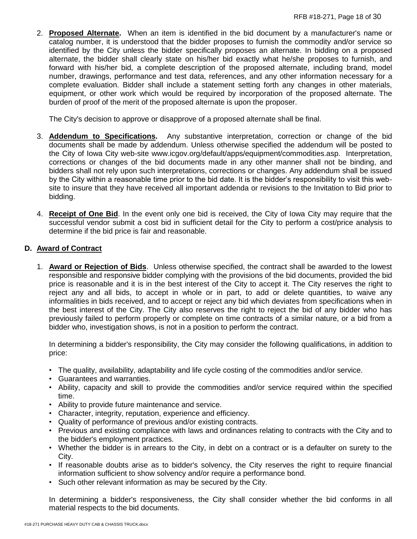2. **Proposed Alternate.** When an item is identified in the bid document by a manufacturer's name or catalog number, it is understood that the bidder proposes to furnish the commodity and/or service so identified by the City unless the bidder specifically proposes an alternate. In bidding on a proposed alternate, the bidder shall clearly state on his/her bid exactly what he/she proposes to furnish, and forward with his/her bid, a complete description of the proposed alternate, including brand, model number, drawings, performance and test data, references, and any other information necessary for a complete evaluation. Bidder shall include a statement setting forth any changes in other materials, equipment, or other work which would be required by incorporation of the proposed alternate. The burden of proof of the merit of the proposed alternate is upon the proposer.

The City's decision to approve or disapprove of a proposed alternate shall be final.

- 3. **Addendum to Specifications.** Any substantive interpretation, correction or change of the bid documents shall be made by addendum. Unless otherwise specified the addendum will be posted to the City of Iowa City web-site www.icgov.org/default/apps/equipment/commodities.asp. Interpretation, corrections or changes of the bid documents made in any other manner shall not be binding, and bidders shall not rely upon such interpretations, corrections or changes. Any addendum shall be issued by the City within a reasonable time prior to the bid date. It is the bidder's responsibility to visit this website to insure that they have received all important addenda or revisions to the Invitation to Bid prior to bidding.
- 4. **Receipt of One Bid**. In the event only one bid is received, the City of Iowa City may require that the successful vendor submit a cost bid in sufficient detail for the City to perform a cost/price analysis to determine if the bid price is fair and reasonable.

# **D. Award of Contract**

1. **Award or Rejection of Bids**. Unless otherwise specified, the contract shall be awarded to the lowest responsible and responsive bidder complying with the provisions of the bid documents, provided the bid price is reasonable and it is in the best interest of the City to accept it. The City reserves the right to reject any and all bids, to accept in whole or in part, to add or delete quantities, to waive any informalities in bids received, and to accept or reject any bid which deviates from specifications when in the best interest of the City. The City also reserves the right to reject the bid of any bidder who has previously failed to perform properly or complete on time contracts of a similar nature, or a bid from a bidder who, investigation shows, is not in a position to perform the contract.

In determining a bidder's responsibility, the City may consider the following qualifications, in addition to price:

- The quality, availability, adaptability and life cycle costing of the commodities and/or service.
- Guarantees and warranties.
- Ability, capacity and skill to provide the commodities and/or service required within the specified time.
- Ability to provide future maintenance and service.
- Character, integrity, reputation, experience and efficiency.
- Quality of performance of previous and/or existing contracts.
- Previous and existing compliance with laws and ordinances relating to contracts with the City and to the bidder's employment practices.
- Whether the bidder is in arrears to the City, in debt on a contract or is a defaulter on surety to the City.
- If reasonable doubts arise as to bidder's solvency, the City reserves the right to require financial information sufficient to show solvency and/or require a performance bond.
- Such other relevant information as may be secured by the City.

In determining a bidder's responsiveness, the City shall consider whether the bid conforms in all material respects to the bid documents.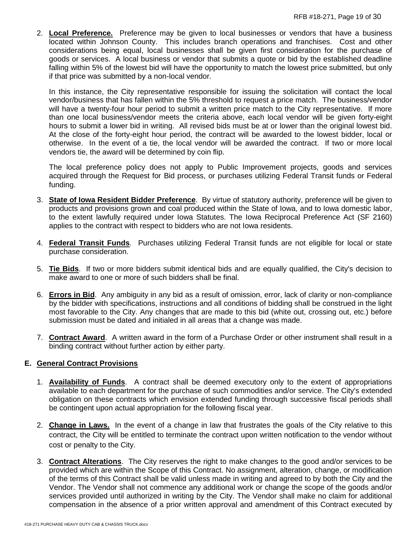2. **Local Preference.** Preference may be given to local businesses or vendors that have a business located within Johnson County. This includes branch operations and franchises. Cost and other considerations being equal, local businesses shall be given first consideration for the purchase of goods or services. A local business or vendor that submits a quote or bid by the established deadline falling within 5% of the lowest bid will have the opportunity to match the lowest price submitted, but only if that price was submitted by a non-local vendor.

In this instance, the City representative responsible for issuing the solicitation will contact the local vendor/business that has fallen within the 5% threshold to request a price match. The business/vendor will have a twenty-four hour period to submit a written price match to the City representative. If more than one local business/vendor meets the criteria above, each local vendor will be given forty-eight hours to submit a lower bid in writing. All revised bids must be at or lower than the original lowest bid. At the close of the forty-eight hour period, the contract will be awarded to the lowest bidder, local or otherwise. In the event of a tie, the local vendor will be awarded the contract. If two or more local vendors tie, the award will be determined by coin flip.

The local preference policy does not apply to Public Improvement projects, goods and services acquired through the Request for Bid process, or purchases utilizing Federal Transit funds or Federal funding.

- 3. **State of Iowa Resident Bidder Preference**. By virtue of statutory authority, preference will be given to products and provisions grown and coal produced within the State of Iowa, and to Iowa domestic labor, to the extent lawfully required under Iowa Statutes. The Iowa Reciprocal Preference Act (SF 2160) applies to the contract with respect to bidders who are not Iowa residents.
- 4. **Federal Transit Funds**. Purchases utilizing Federal Transit funds are not eligible for local or state purchase consideration.
- 5. **Tie Bids**. If two or more bidders submit identical bids and are equally qualified, the City's decision to make award to one or more of such bidders shall be final.
- 6. **Errors in Bid**. Any ambiguity in any bid as a result of omission, error, lack of clarity or non-compliance by the bidder with specifications, instructions and all conditions of bidding shall be construed in the light most favorable to the City. Any changes that are made to this bid (white out, crossing out, etc.) before submission must be dated and initialed in all areas that a change was made.
- 7. **Contract Award**. A written award in the form of a Purchase Order or other instrument shall result in a binding contract without further action by either party.

# **E. General Contract Provisions**

- 1. **Availability of Funds**. A contract shall be deemed executory only to the extent of appropriations available to each department for the purchase of such commodities and/or service. The City's extended obligation on these contracts which envision extended funding through successive fiscal periods shall be contingent upon actual appropriation for the following fiscal year.
- 2. **Change in Laws.** In the event of a change in law that frustrates the goals of the City relative to this contract, the City will be entitled to terminate the contract upon written notification to the vendor without cost or penalty to the City.
- 3. **Contract Alterations**. The City reserves the right to make changes to the good and/or services to be provided which are within the Scope of this Contract. No assignment, alteration, change, or modification of the terms of this Contract shall be valid unless made in writing and agreed to by both the City and the Vendor. The Vendor shall not commence any additional work or change the scope of the goods and/or services provided until authorized in writing by the City. The Vendor shall make no claim for additional compensation in the absence of a prior written approval and amendment of this Contract executed by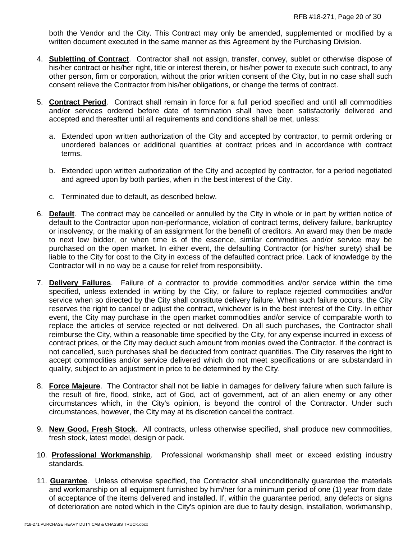both the Vendor and the City. This Contract may only be amended, supplemented or modified by a written document executed in the same manner as this Agreement by the Purchasing Division.

- 4. **Subletting of Contract**. Contractor shall not assign, transfer, convey, sublet or otherwise dispose of his/her contract or his/her right, title or interest therein, or his/her power to execute such contract, to any other person, firm or corporation, without the prior written consent of the City, but in no case shall such consent relieve the Contractor from his/her obligations, or change the terms of contract.
- 5. **Contract Period**. Contract shall remain in force for a full period specified and until all commodities and/or services ordered before date of termination shall have been satisfactorily delivered and accepted and thereafter until all requirements and conditions shall be met, unless:
	- a. Extended upon written authorization of the City and accepted by contractor, to permit ordering or unordered balances or additional quantities at contract prices and in accordance with contract terms.
	- b. Extended upon written authorization of the City and accepted by contractor, for a period negotiated and agreed upon by both parties, when in the best interest of the City.
	- c. Terminated due to default, as described below.
- 6. **Default**. The contract may be cancelled or annulled by the City in whole or in part by written notice of default to the Contractor upon non-performance, violation of contract terms, delivery failure, bankruptcy or insolvency, or the making of an assignment for the benefit of creditors. An award may then be made to next low bidder, or when time is of the essence, similar commodities and/or service may be purchased on the open market. In either event, the defaulting Contractor (or his/her surety) shall be liable to the City for cost to the City in excess of the defaulted contract price. Lack of knowledge by the Contractor will in no way be a cause for relief from responsibility.
- 7. **Delivery Failures**. Failure of a contractor to provide commodities and/or service within the time specified, unless extended in writing by the City, or failure to replace rejected commodities and/or service when so directed by the City shall constitute delivery failure. When such failure occurs, the City reserves the right to cancel or adjust the contract, whichever is in the best interest of the City. In either event, the City may purchase in the open market commodities and/or service of comparable worth to replace the articles of service rejected or not delivered. On all such purchases, the Contractor shall reimburse the City, within a reasonable time specified by the City, for any expense incurred in excess of contract prices, or the City may deduct such amount from monies owed the Contractor. If the contract is not cancelled, such purchases shall be deducted from contract quantities. The City reserves the right to accept commodities and/or service delivered which do not meet specifications or are substandard in quality, subject to an adjustment in price to be determined by the City.
- 8. **Force Majeure**. The Contractor shall not be liable in damages for delivery failure when such failure is the result of fire, flood, strike, act of God, act of government, act of an alien enemy or any other circumstances which, in the City's opinion, is beyond the control of the Contractor. Under such circumstances, however, the City may at its discretion cancel the contract.
- 9. **New Good. Fresh Stock**. All contracts, unless otherwise specified, shall produce new commodities, fresh stock, latest model, design or pack.
- 10. **Professional Workmanship**. Professional workmanship shall meet or exceed existing industry standards.
- 11. **Guarantee**. Unless otherwise specified, the Contractor shall unconditionally guarantee the materials and workmanship on all equipment furnished by him/her for a minimum period of one (1) year from date of acceptance of the items delivered and installed. If, within the guarantee period, any defects or signs of deterioration are noted which in the City's opinion are due to faulty design, installation, workmanship,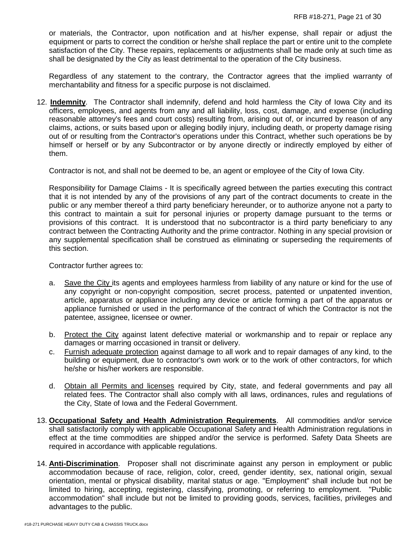or materials, the Contractor, upon notification and at his/her expense, shall repair or adjust the equipment or parts to correct the condition or he/she shall replace the part or entire unit to the complete satisfaction of the City. These repairs, replacements or adjustments shall be made only at such time as shall be designated by the City as least detrimental to the operation of the City business.

Regardless of any statement to the contrary, the Contractor agrees that the implied warranty of merchantability and fitness for a specific purpose is not disclaimed.

12. **Indemnity**. The Contractor shall indemnify, defend and hold harmless the City of Iowa City and its officers, employees, and agents from any and all liability, loss, cost, damage, and expense (including reasonable attorney's fees and court costs) resulting from, arising out of, or incurred by reason of any claims, actions, or suits based upon or alleging bodily injury, including death, or property damage rising out of or resulting from the Contractor's operations under this Contract, whether such operations be by himself or herself or by any Subcontractor or by anyone directly or indirectly employed by either of them.

Contractor is not, and shall not be deemed to be, an agent or employee of the City of Iowa City.

Responsibility for Damage Claims - It is specifically agreed between the parties executing this contract that it is not intended by any of the provisions of any part of the contract documents to create in the public or any member thereof a third party beneficiary hereunder, or to authorize anyone not a party to this contract to maintain a suit for personal injuries or property damage pursuant to the terms or provisions of this contract. It is understood that no subcontractor is a third party beneficiary to any contract between the Contracting Authority and the prime contractor. Nothing in any special provision or any supplemental specification shall be construed as eliminating or superseding the requirements of this section.

Contractor further agrees to:

- a. Save the City its agents and employees harmless from liability of any nature or kind for the use of any copyright or non-copyright composition, secret process, patented or unpatented invention, article, apparatus or appliance including any device or article forming a part of the apparatus or appliance furnished or used in the performance of the contract of which the Contractor is not the patentee, assignee, licensee or owner.
- b. Protect the City against latent defective material or workmanship and to repair or replace any damages or marring occasioned in transit or delivery.
- c. Furnish adequate protection against damage to all work and to repair damages of any kind, to the building or equipment, due to contractor's own work or to the work of other contractors, for which he/she or his/her workers are responsible.
- d. Obtain all Permits and licenses required by City, state, and federal governments and pay all related fees. The Contractor shall also comply with all laws, ordinances, rules and regulations of the City, State of Iowa and the Federal Government.
- 13. **Occupational Safety and Health Administration Requirements**. All commodities and/or service shall satisfactorily comply with applicable Occupational Safety and Health Administration regulations in effect at the time commodities are shipped and/or the service is performed. Safety Data Sheets are required in accordance with applicable regulations.
- 14. **Anti-Discrimination**. Proposer shall not discriminate against any person in employment or public accommodation because of race, religion, color, creed, gender identity, sex, national origin, sexual orientation, mental or physical disability, marital status or age. "Employment" shall include but not be limited to hiring, accepting, registering, classifying, promoting, or referring to employment. "Public accommodation" shall include but not be limited to providing goods, services, facilities, privileges and advantages to the public.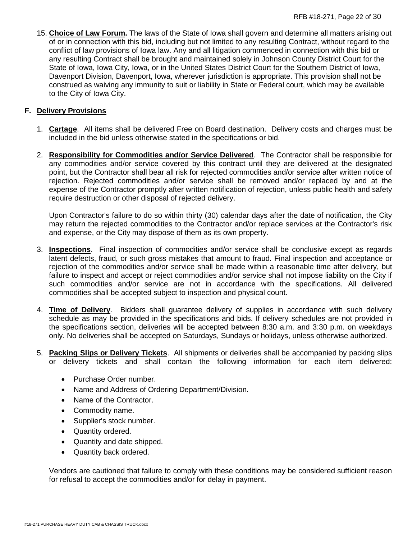15. **Choice of Law Forum.** The laws of the State of Iowa shall govern and determine all matters arising out of or in connection with this bid, including but not limited to any resulting Contract, without regard to the conflict of law provisions of Iowa law. Any and all litigation commenced in connection with this bid or any resulting Contract shall be brought and maintained solely in Johnson County District Court for the State of Iowa, Iowa City, Iowa, or in the United States District Court for the Southern District of Iowa, Davenport Division, Davenport, Iowa, wherever jurisdiction is appropriate. This provision shall not be construed as waiving any immunity to suit or liability in State or Federal court, which may be available to the City of Iowa City.

# **F. Delivery Provisions**

- 1. **Cartage**. All items shall be delivered Free on Board destination. Delivery costs and charges must be included in the bid unless otherwise stated in the specifications or bid.
- 2. **Responsibility for Commodities and/or Service Delivered**. The Contractor shall be responsible for any commodities and/or service covered by this contract until they are delivered at the designated point, but the Contractor shall bear all risk for rejected commodities and/or service after written notice of rejection. Rejected commodities and/or service shall be removed and/or replaced by and at the expense of the Contractor promptly after written notification of rejection, unless public health and safety require destruction or other disposal of rejected delivery.

Upon Contractor's failure to do so within thirty (30) calendar days after the date of notification, the City may return the rejected commodities to the Contractor and/or replace services at the Contractor's risk and expense, or the City may dispose of them as its own property.

- 3. **Inspections**. Final inspection of commodities and/or service shall be conclusive except as regards latent defects, fraud, or such gross mistakes that amount to fraud. Final inspection and acceptance or rejection of the commodities and/or service shall be made within a reasonable time after delivery, but failure to inspect and accept or reject commodities and/or service shall not impose liability on the City if such commodities and/or service are not in accordance with the specifications. All delivered commodities shall be accepted subject to inspection and physical count.
- 4. **Time of Delivery**. Bidders shall guarantee delivery of supplies in accordance with such delivery schedule as may be provided in the specifications and bids. If delivery schedules are not provided in the specifications section, deliveries will be accepted between 8:30 a.m. and 3:30 p.m. on weekdays only. No deliveries shall be accepted on Saturdays, Sundays or holidays, unless otherwise authorized.
- 5. **Packing Slips or Delivery Tickets**. All shipments or deliveries shall be accompanied by packing slips or delivery tickets and shall contain the following information for each item delivered:
	- Purchase Order number.
	- Name and Address of Ordering Department/Division.
	- Name of the Contractor.
	- Commodity name.
	- Supplier's stock number.
	- Quantity ordered.
	- Quantity and date shipped.
	- Quantity back ordered.

Vendors are cautioned that failure to comply with these conditions may be considered sufficient reason for refusal to accept the commodities and/or for delay in payment.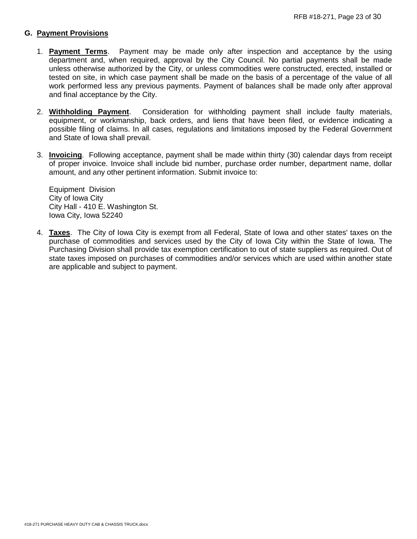## **G. Payment Provisions**

- 1. **Payment Terms**. Payment may be made only after inspection and acceptance by the using department and, when required, approval by the City Council. No partial payments shall be made unless otherwise authorized by the City, or unless commodities were constructed, erected, installed or tested on site, in which case payment shall be made on the basis of a percentage of the value of all work performed less any previous payments. Payment of balances shall be made only after approval and final acceptance by the City.
- 2. **Withholding Payment**. Consideration for withholding payment shall include faulty materials, equipment, or workmanship, back orders, and liens that have been filed, or evidence indicating a possible filing of claims. In all cases, regulations and limitations imposed by the Federal Government and State of Iowa shall prevail.
- 3. **Invoicing**. Following acceptance, payment shall be made within thirty (30) calendar days from receipt of proper invoice. Invoice shall include bid number, purchase order number, department name, dollar amount, and any other pertinent information. Submit invoice to:

Equipment Division City of Iowa City City Hall - 410 E. Washington St. Iowa City, Iowa 52240

4. **Taxes**. The City of Iowa City is exempt from all Federal, State of Iowa and other states' taxes on the purchase of commodities and services used by the City of Iowa City within the State of Iowa. The Purchasing Division shall provide tax exemption certification to out of state suppliers as required. Out of state taxes imposed on purchases of commodities and/or services which are used within another state are applicable and subject to payment.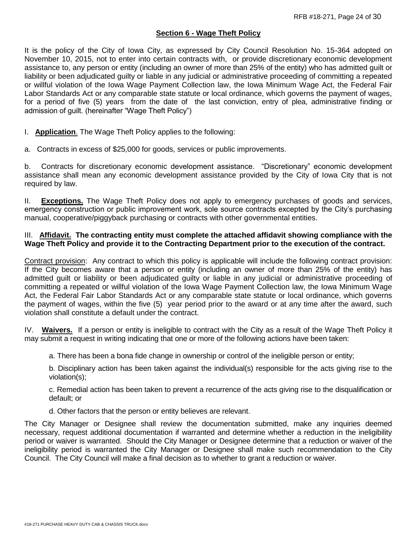## **Section 6 - Wage Theft Policy**

It is the policy of the City of Iowa City, as expressed by City Council Resolution No. 15-364 adopted on November 10, 2015, not to enter into certain contracts with, or provide discretionary economic development assistance to, any person or entity (including an owner of more than 25% of the entity) who has admitted guilt or liability or been adjudicated guilty or liable in any judicial or administrative proceeding of committing a repeated or willful violation of the Iowa Wage Payment Collection law, the Iowa Minimum Wage Act, the Federal Fair Labor Standards Act or any comparable state statute or local ordinance, which governs the payment of wages, for a period of five (5) years from the date of the last conviction, entry of plea, administrative finding or admission of guilt. (hereinafter "Wage Theft Policy")

## I. **Application**. The Wage Theft Policy applies to the following:

a. Contracts in excess of \$25,000 for goods, services or public improvements.

b. Contracts for discretionary economic development assistance. "Discretionary" economic development assistance shall mean any economic development assistance provided by the City of Iowa City that is not required by law.

II. **Exceptions.** The Wage Theft Policy does not apply to emergency purchases of goods and services, emergency construction or public improvement work, sole source contracts excepted by the City's purchasing manual, cooperative/piggyback purchasing or contracts with other governmental entities.

## III. **Affidavit. The contracting entity must complete the attached affidavit showing compliance with the Wage Theft Policy and provide it to the Contracting Department prior to the execution of the contract.**

Contract provision: Any contract to which this policy is applicable will include the following contract provision: If the City becomes aware that a person or entity (including an owner of more than 25% of the entity) has admitted guilt or liability or been adjudicated guilty or liable in any judicial or administrative proceeding of committing a repeated or willful violation of the Iowa Wage Payment Collection law, the Iowa Minimum Wage Act, the Federal Fair Labor Standards Act or any comparable state statute or local ordinance, which governs the payment of wages, within the five (5) year period prior to the award or at any time after the award, such violation shall constitute a default under the contract.

IV. **Waivers.** If a person or entity is ineligible to contract with the City as a result of the Wage Theft Policy it may submit a request in writing indicating that one or more of the following actions have been taken:

a. There has been a bona fide change in ownership or control of the ineligible person or entity;

b. Disciplinary action has been taken against the individual(s) responsible for the acts giving rise to the violation(s);

c. Remedial action has been taken to prevent a recurrence of the acts giving rise to the disqualification or default; or

d. Other factors that the person or entity believes are relevant.

The City Manager or Designee shall review the documentation submitted, make any inquiries deemed necessary, request additional documentation if warranted and determine whether a reduction in the ineligibility period or waiver is warranted. Should the City Manager or Designee determine that a reduction or waiver of the ineligibility period is warranted the City Manager or Designee shall make such recommendation to the City Council. The City Council will make a final decision as to whether to grant a reduction or waiver.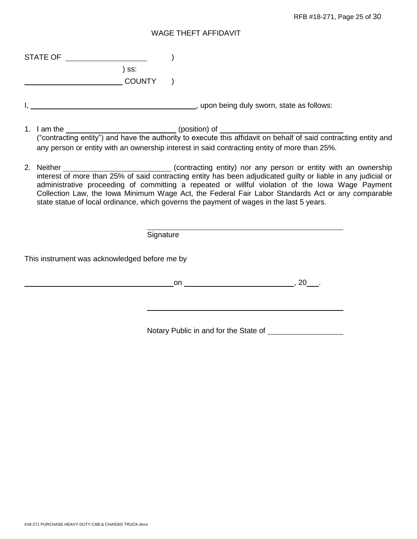## WAGE THEFT AFFIDAVIT

| <b>STATE OF</b> |  |
|-----------------|--|
|                 |  |

) ss: **COUNTY** )

- I, , upon being duly sworn, state as follows:
- 1. I am the \_\_\_\_\_\_\_\_\_\_\_\_\_\_\_\_\_\_\_\_\_\_\_\_\_\_\_\_\_\_\_\_\_(position) of \_\_\_\_\_\_ ("contracting entity") and have the authority to execute this affidavit on behalf of said contracting entity and any person or entity with an ownership interest in said contracting entity of more than 25%.
- 2. Neither **Contracting entity**) nor any person or entity with an ownership interest of more than 25% of said contracting entity has been adjudicated guilty or liable in any judicial or administrative proceeding of committing a repeated or willful violation of the Iowa Wage Payment Collection Law, the Iowa Minimum Wage Act, the Federal Fair Labor Standards Act or any comparable state statue of local ordinance, which governs the payment of wages in the last 5 years.

Signature This instrument was acknowledged before me by  $\sim$  00  $\sim$  00  $\sim$  00  $\sim$  00  $\sim$  00  $\sim$ 

Notary Public in and for the State of **Notary Public in and for the State of**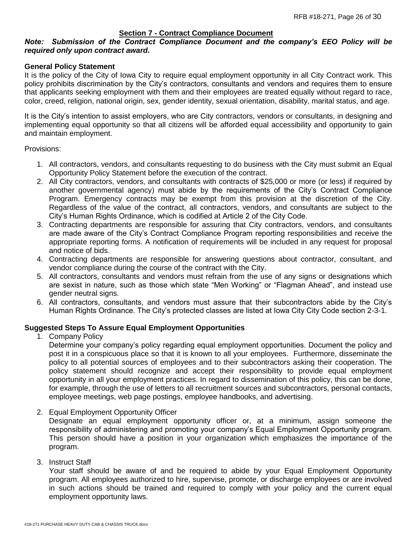## **Section 7 - Contract Compliance Document**

## *Note: Submission of the Contract Compliance Document and the company's EEO Policy will be required only upon contract award.*

#### **General Policy Statement**

It is the policy of the City of Iowa City to require equal employment opportunity in all City Contract work. This policy prohibits discrimination by the City's contractors, consultants and vendors and requires them to ensure that applicants seeking employment with them and their employees are treated equally without regard to race, color, creed, religion, national origin, sex, gender identity, sexual orientation, disability, marital status, and age.

It is the City's intention to assist employers, who are City contractors, vendors or consultants, in designing and implementing equal opportunity so that all citizens will be afforded equal accessibility and opportunity to gain and maintain employment.

Provisions:

- 1. All contractors, vendors, and consultants requesting to do business with the City must submit an Equal Opportunity Policy Statement before the execution of the contract.
- 2. All City contractors, vendors, and consultants with contracts of \$25,000 or more (or less) if required by another governmental agency) must abide by the requirements of the City's Contract Compliance Program. Emergency contracts may be exempt from this provision at the discretion of the City. Regardless of the value of the contract, all contractors, vendors, and consultants are subject to the City's Human Rights Ordinance, which is codified at Article 2 of the City Code.
- 3. Contracting departments are responsible for assuring that City contractors, vendors, and consultants are made aware of the City's Contract Compliance Program reporting responsibilities and receive the appropriate reporting forms. A notification of requirements will be included in any request for proposal and notice of bids.
- 4. Contracting departments are responsible for answering questions about contractor, consultant, and vendor compliance during the course of the contract with the City.
- 5. All contractors, consultants and vendors must refrain from the use of any signs or designations which are sexist in nature, such as those which state "Men Working" or "Flagman Ahead", and instead use gender neutral signs.
- 6. All contractors, consultants, and vendors must assure that their subcontractors abide by the City's Human Rights Ordinance. The City's protected classes are listed at Iowa City City Code section 2-3-1.

## **Suggested Steps To Assure Equal Employment Opportunities**

1. Company Policy

Determine your company's policy regarding equal employment opportunities. Document the policy and post it in a conspicuous place so that it is known to all your employees. Furthermore, disseminate the policy to all potential sources of employees and to their subcontractors asking their cooperation. The policy statement should recognize and accept their responsibility to provide equal employment opportunity in all your employment practices. In regard to dissemination of this policy, this can be done, for example, through the use of letters to all recruitment sources and subcontractors, personal contacts, employee meetings, web page postings, employee handbooks, and advertising.

2. Equal Employment Opportunity Officer

Designate an equal employment opportunity officer or, at a minimum, assign someone the responsibility of administering and promoting your company's Equal Employment Opportunity program. This person should have a position in your organization which emphasizes the importance of the program.

## 3. Instruct Staff

Your staff should be aware of and be required to abide by your Equal Employment Opportunity program. All employees authorized to hire, supervise, promote, or discharge employees or are involved in such actions should be trained and required to comply with your policy and the current equal employment opportunity laws.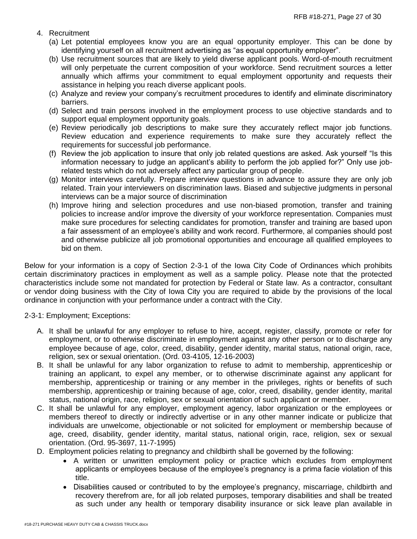- 4. Recruitment
	- (a) Let potential employees know you are an equal opportunity employer. This can be done by identifying yourself on all recruitment advertising as "as equal opportunity employer".
	- (b) Use recruitment sources that are likely to yield diverse applicant pools. Word-of-mouth recruitment will only perpetuate the current composition of your workforce. Send recruitment sources a letter annually which affirms your commitment to equal employment opportunity and requests their assistance in helping you reach diverse applicant pools.
	- (c) Analyze and review your company's recruitment procedures to identify and eliminate discriminatory barriers.
	- (d) Select and train persons involved in the employment process to use objective standards and to support equal employment opportunity goals.
	- (e) Review periodically job descriptions to make sure they accurately reflect major job functions. Review education and experience requirements to make sure they accurately reflect the requirements for successful job performance.
	- (f) Review the job application to insure that only job related questions are asked. Ask yourself "Is this information necessary to judge an applicant's ability to perform the job applied for?" Only use jobrelated tests which do not adversely affect any particular group of people.
	- (g) Monitor interviews carefully. Prepare interview questions in advance to assure they are only job related. Train your interviewers on discrimination laws. Biased and subjective judgments in personal interviews can be a major source of discrimination
	- (h) Improve hiring and selection procedures and use non-biased promotion, transfer and training policies to increase and/or improve the diversity of your workforce representation. Companies must make sure procedures for selecting candidates for promotion, transfer and training are based upon a fair assessment of an employee's ability and work record. Furthermore, al companies should post and otherwise publicize all job promotional opportunities and encourage all qualified employees to bid on them.

Below for your information is a copy of Section 2-3-1 of the Iowa City Code of Ordinances which prohibits certain discriminatory practices in employment as well as a sample policy. Please note that the protected characteristics include some not mandated for protection by Federal or State law. As a contractor, consultant or vendor doing business with the City of Iowa City you are required to abide by the provisions of the local ordinance in conjunction with your performance under a contract with the City.

2-3-1: Employment; Exceptions:

- A. It shall be unlawful for any employer to refuse to hire, accept, register, classify, promote or refer for employment, or to otherwise discriminate in employment against any other person or to discharge any employee because of age, color, creed, disability, gender identity, marital status, national origin, race, religion, sex or sexual orientation. (Ord. 03-4105, 12-16-2003)
- B. It shall be unlawful for any labor organization to refuse to admit to membership, apprenticeship or training an applicant, to expel any member, or to otherwise discriminate against any applicant for membership, apprenticeship or training or any member in the privileges, rights or benefits of such membership, apprenticeship or training because of age, color, creed, disability, gender identity, marital status, national origin, race, religion, sex or sexual orientation of such applicant or member.
- C. It shall be unlawful for any employer, employment agency, labor organization or the employees or members thereof to directly or indirectly advertise or in any other manner indicate or publicize that individuals are unwelcome, objectionable or not solicited for employment or membership because of age, creed, disability, gender identity, marital status, national origin, race, religion, sex or sexual orientation. (Ord. 95-3697, 11-7-1995)
- D. Employment policies relating to pregnancy and childbirth shall be governed by the following:
	- A written or unwritten employment policy or practice which excludes from employment applicants or employees because of the employee's pregnancy is a prima facie violation of this title.
	- Disabilities caused or contributed to by the employee's pregnancy, miscarriage, childbirth and recovery therefrom are, for all job related purposes, temporary disabilities and shall be treated as such under any health or temporary disability insurance or sick leave plan available in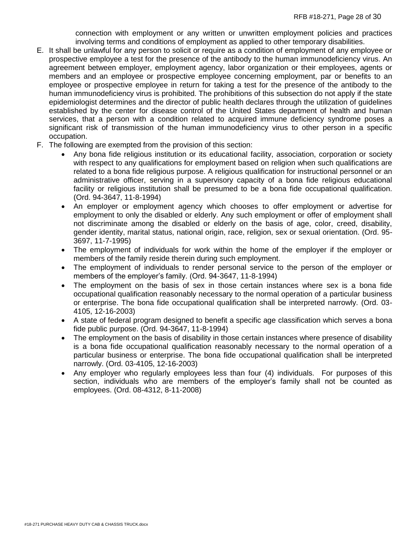connection with employment or any written or unwritten employment policies and practices involving terms and conditions of employment as applied to other temporary disabilities.

- E. It shall be unlawful for any person to solicit or require as a condition of employment of any employee or prospective employee a test for the presence of the antibody to the human immunodeficiency virus. An agreement between employer, employment agency, labor organization or their employees, agents or members and an employee or prospective employee concerning employment, par or benefits to an employee or prospective employee in return for taking a test for the presence of the antibody to the human immunodeficiency virus is prohibited. The prohibitions of this subsection do not apply if the state epidemiologist determines and the director of public health declares through the utilization of guidelines established by the center for disease control of the United States department of health and human services, that a person with a condition related to acquired immune deficiency syndrome poses a significant risk of transmission of the human immunodeficiency virus to other person in a specific occupation.
- F. The following are exempted from the provision of this section:
	- Any bona fide religious institution or its educational facility, association, corporation or society with respect to any qualifications for employment based on religion when such qualifications are related to a bona fide religious purpose. A religious qualification for instructional personnel or an administrative officer, serving in a supervisory capacity of a bona fide religious educational facility or religious institution shall be presumed to be a bona fide occupational qualification. (Ord. 94-3647, 11-8-1994)
	- An employer or employment agency which chooses to offer employment or advertise for employment to only the disabled or elderly. Any such employment or offer of employment shall not discriminate among the disabled or elderly on the basis of age, color, creed, disability, gender identity, marital status, national origin, race, religion, sex or sexual orientation. (Ord. 95- 3697, 11-7-1995)
	- The employment of individuals for work within the home of the employer if the employer or members of the family reside therein during such employment.
	- The employment of individuals to render personal service to the person of the employer or members of the employer's family. (Ord. 94-3647, 11-8-1994)
	- The employment on the basis of sex in those certain instances where sex is a bona fide occupational qualification reasonably necessary to the normal operation of a particular business or enterprise. The bona fide occupational qualification shall be interpreted narrowly. (Ord. 03- 4105, 12-16-2003)
	- A state of federal program designed to benefit a specific age classification which serves a bona fide public purpose. (Ord. 94-3647, 11-8-1994)
	- The employment on the basis of disability in those certain instances where presence of disability is a bona fide occupational qualification reasonably necessary to the normal operation of a particular business or enterprise. The bona fide occupational qualification shall be interpreted narrowly. (Ord. 03-4105, 12-16-2003)
	- Any employer who regularly employees less than four (4) individuals. For purposes of this section, individuals who are members of the employer's family shall not be counted as employees. (Ord. 08-4312, 8-11-2008)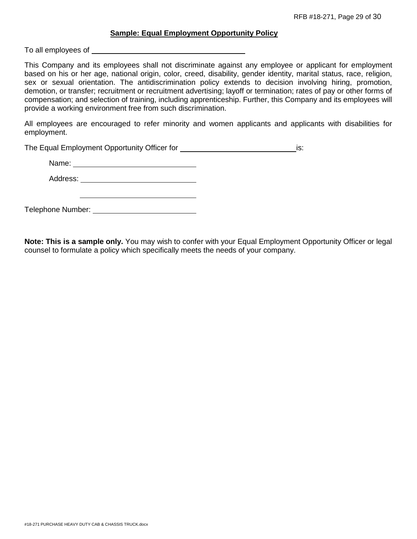#### **Sample: Equal Employment Opportunity Policy**

To all employees of

This Company and its employees shall not discriminate against any employee or applicant for employment based on his or her age, national origin, color, creed, disability, gender identity, marital status, race, religion, sex or sexual orientation. The antidiscrimination policy extends to decision involving hiring, promotion, demotion, or transfer; recruitment or recruitment advertising; layoff or termination; rates of pay or other forms of compensation; and selection of training, including apprenticeship. Further, this Company and its employees will provide a working environment free from such discrimination.

All employees are encouraged to refer minority and women applicants and applicants with disabilities for employment.

The Equal Employment Opportunity Officer for is: is:

Name: when the contract of the contract of the contract of the contract of the contract of the contract of the contract of the contract of the contract of the contract of the contract of the contract of the contract of the

Address: **Address: Address: Address: Address: Address: Address: Address: Address: Address: Address: Address: Address: Address: Address: Address: Address: Address: Address: Address: Add** 

Telephone Number:

**Note: This is a sample only.** You may wish to confer with your Equal Employment Opportunity Officer or legal counsel to formulate a policy which specifically meets the needs of your company.